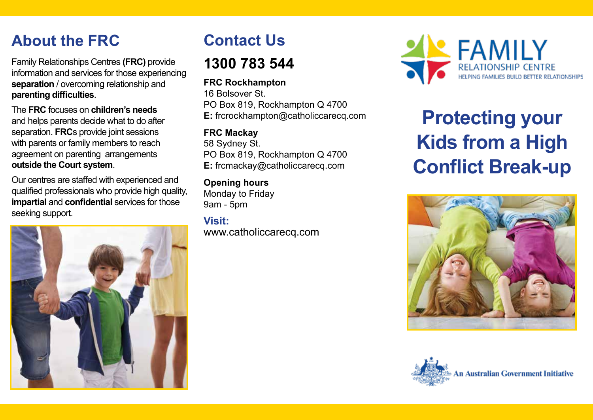# **About the FRC**

Family Relationships Centres **(FRC)** provide information and services for those experiencing **separation** / overcoming relationship and **parenting difficulties**.

The **FRC** focuses on **children's needs** and helps parents decide what to do after separation. **FRC**s provide joint sessions with parents or family members to reach agreement on parenting arrangements **outside the Court system**.

Our centres are staffed with experienced and qualified professionals who provide high quality, **impartial** and **confidential** services for those seeking support.



# **Contact Us**

## **1300 783 544**

## **FRC Rockhampton**

16 Bolsover St. PO Box 819, Rockhampton Q 4700 **E:** frcrockhampton@catholiccarecq.com

### **FRC Mackay**

58 Sydney St. PO Box 819, Rockhampton Q 4700 **E:** frcmackay@catholiccarecq.com

#### **Opening hours** Monday to Friday

9am - 5pm

## **Visit:** www.catholiccarecq.com



# **Protecting your Kids from a High Conflict Break-up**